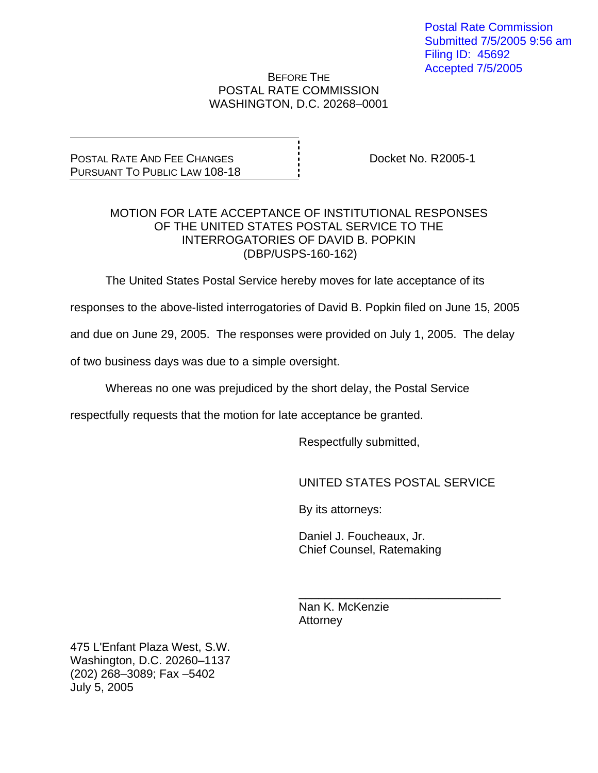Postal Rate Commission Submitted 7/5/2005 9:56 am Filing ID: 45692 Accepted 7/5/2005

## BEFORE THE POSTAL RATE COMMISSION WASHINGTON, D.C. 20268–0001

POSTAL RATE AND FEE CHANGES PURSUANT TO PUBLIC LAW 108-18 Docket No. R2005-1

## MOTION FOR LATE ACCEPTANCE OF INSTITUTIONAL RESPONSES OF THE UNITED STATES POSTAL SERVICE TO THE INTERROGATORIES OF DAVID B. POPKIN (DBP/USPS-160-162)

The United States Postal Service hereby moves for late acceptance of its

responses to the above-listed interrogatories of David B. Popkin filed on June 15, 2005

and due on June 29, 2005. The responses were provided on July 1, 2005. The delay

of two business days was due to a simple oversight.

Whereas no one was prejudiced by the short delay, the Postal Service

 $\overline{\phantom{a}}$  , and the contract of the contract of the contract of the contract of the contract of the contract of the contract of the contract of the contract of the contract of the contract of the contract of the contrac

respectfully requests that the motion for late acceptance be granted.

Respectfully submitted,

UNITED STATES POSTAL SERVICE

By its attorneys:

 Daniel J. Foucheaux, Jr. Chief Counsel, Ratemaking

 Nan K. McKenzie Attorney

475 L'Enfant Plaza West, S.W. Washington, D.C. 20260–1137 (202) 268–3089; Fax –5402 July 5, 2005